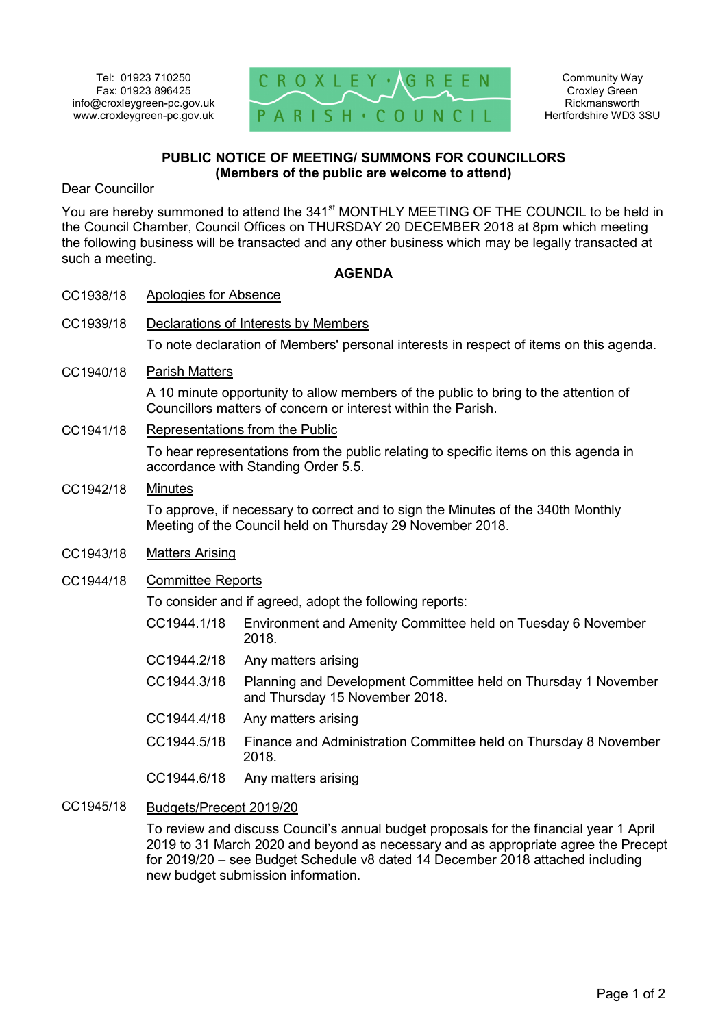

### **PUBLIC NOTICE OF MEETING/ SUMMONS FOR COUNCILLORS (Members of the public are welcome to attend)**

Dear Councillor

You are hereby summoned to attend the 341<sup>st</sup> MONTHLY MEETING OF THE COUNCIL to be held in the Council Chamber, Council Offices on THURSDAY 20 DECEMBER 2018 at 8pm which meeting the following business will be transacted and any other business which may be legally transacted at such a meeting.

#### **AGENDA**

| CC1938/18 | Apologies for Absence                                                                                                                                |                                                                                                  |
|-----------|------------------------------------------------------------------------------------------------------------------------------------------------------|--------------------------------------------------------------------------------------------------|
| CC1939/18 | Declarations of Interests by Members                                                                                                                 |                                                                                                  |
|           | To note declaration of Members' personal interests in respect of items on this agenda.                                                               |                                                                                                  |
| CC1940/18 | <b>Parish Matters</b>                                                                                                                                |                                                                                                  |
|           | A 10 minute opportunity to allow members of the public to bring to the attention of<br>Councillors matters of concern or interest within the Parish. |                                                                                                  |
| CC1941/18 | <b>Representations from the Public</b>                                                                                                               |                                                                                                  |
|           | To hear representations from the public relating to specific items on this agenda in<br>accordance with Standing Order 5.5.                          |                                                                                                  |
| CC1942/18 | <b>Minutes</b>                                                                                                                                       |                                                                                                  |
|           | To approve, if necessary to correct and to sign the Minutes of the 340th Monthly<br>Meeting of the Council held on Thursday 29 November 2018.        |                                                                                                  |
| CC1943/18 | <b>Matters Arising</b>                                                                                                                               |                                                                                                  |
| CC1944/18 | <b>Committee Reports</b>                                                                                                                             |                                                                                                  |
|           | To consider and if agreed, adopt the following reports:                                                                                              |                                                                                                  |
|           | CC1944.1/18                                                                                                                                          | Environment and Amenity Committee held on Tuesday 6 November<br>2018.                            |
|           | CC1944.2/18                                                                                                                                          | Any matters arising                                                                              |
|           | CC1944.3/18                                                                                                                                          | Planning and Development Committee held on Thursday 1 November<br>and Thursday 15 November 2018. |
|           | CC1944.4/18                                                                                                                                          | Any matters arising                                                                              |
|           | CC1944.5/18                                                                                                                                          | Finance and Administration Committee held on Thursday 8 November<br>2018.                        |
|           | CC1944.6/18                                                                                                                                          | Any matters arising                                                                              |
| CC1945/18 | Budgets/Precept 2019/20                                                                                                                              |                                                                                                  |

To review and discuss Council's annual budget proposals for the financial year 1 April 2019 to 31 March 2020 and beyond as necessary and as appropriate agree the Precept for 2019/20 – see Budget Schedule v8 dated 14 December 2018 attached including new budget submission information.